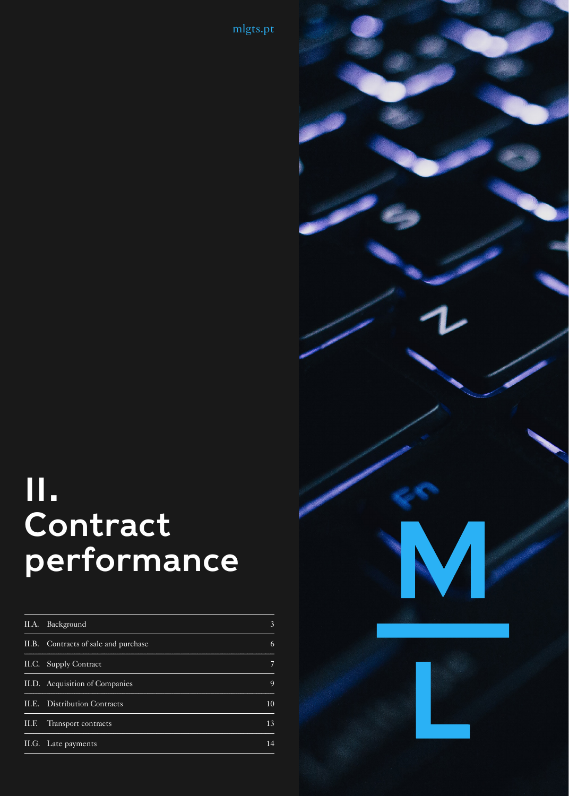[mlgts.pt](https://www.mlgts.pt/en/)

# II. Contract performance

| II.A. Background                     | 3  |
|--------------------------------------|----|
| II.B. Contracts of sale and purchase | 6  |
| II.C. Supply Contract                | 7  |
| II.D. Acquisition of Companies       | 9  |
| II.E. Distribution Contracts         | 10 |
| II.F. Transport contracts            | 13 |
| II.G. Late payments                  | 14 |

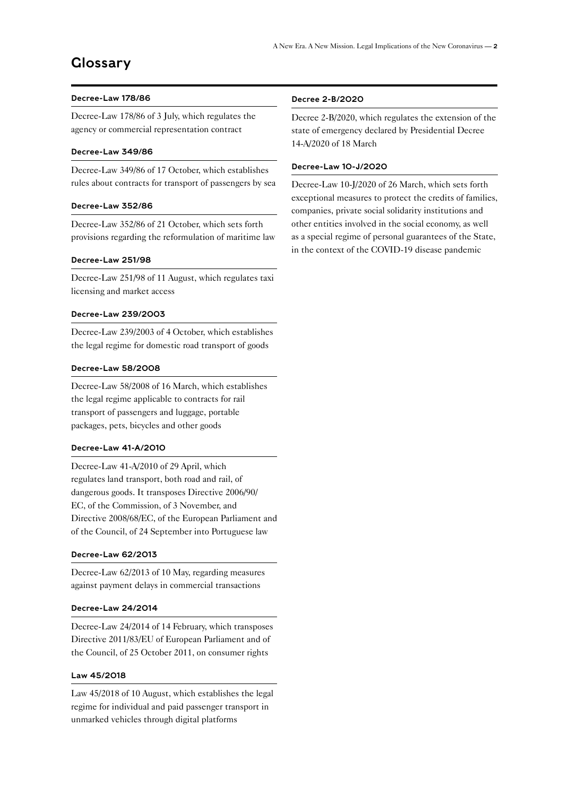#### Decree-Law 178/86

Decree-Law 178/86 of 3 July, which regulates the agency or commercial representation contract

#### Decree-Law 349/86

Decree-Law 349/86 of 17 October, which establishes rules about contracts for transport of passengers by sea

#### Decree-Law 352/86

Decree-Law 352/86 of 21 October, which sets forth provisions regarding the reformulation of maritime law

#### Decree-Law 251/98

Decree-Law 251/98 of 11 August, which regulates taxi licensing and market access

#### Decree-Law 239/2003

Decree-Law 239/2003 of 4 October, which establishes the legal regime for domestic road transport of goods

#### Decree-Law 58/2008

Decree-Law 58/2008 of 16 March, which establishes the legal regime applicable to contracts for rail transport of passengers and luggage, portable packages, pets, bicycles and other goods

#### Decree-Law 41-A/2010

Decree-Law 41-A/2010 of 29 April, which regulates land transport, both road and rail, of dangerous goods. It transposes Directive 2006/90/ EC, of the Commission, of 3 November, and Directive 2008/68/EC, of the European Parliament and of the Council, of 24 September into Portuguese law

#### Decree-Law 62/2013

Decree-Law 62/2013 of 10 May, regarding measures against payment delays in commercial transactions

#### Decree-Law 24/2014

Decree-Law 24/2014 of 14 February, which transposes Directive 2011/83/EU of European Parliament and of the Council, of 25 October 2011, on consumer rights

#### Law 45/2018

Law 45/2018 of 10 August, which establishes the legal regime for individual and paid passenger transport in unmarked vehicles through digital platforms

#### Decree 2-B/2020

Decree 2-B/2020, which regulates the extension of the state of emergency declared by Presidential Decree 14-A/2020 of 18 March

#### Decree-Law 10-J/2020

Decree-Law 10-J/2020 of 26 March, which sets forth exceptional measures to protect the credits of families, companies, private social solidarity institutions and other entities involved in the social economy, as well as a special regime of personal guarantees of the State, in the context of the COVID-19 disease pandemic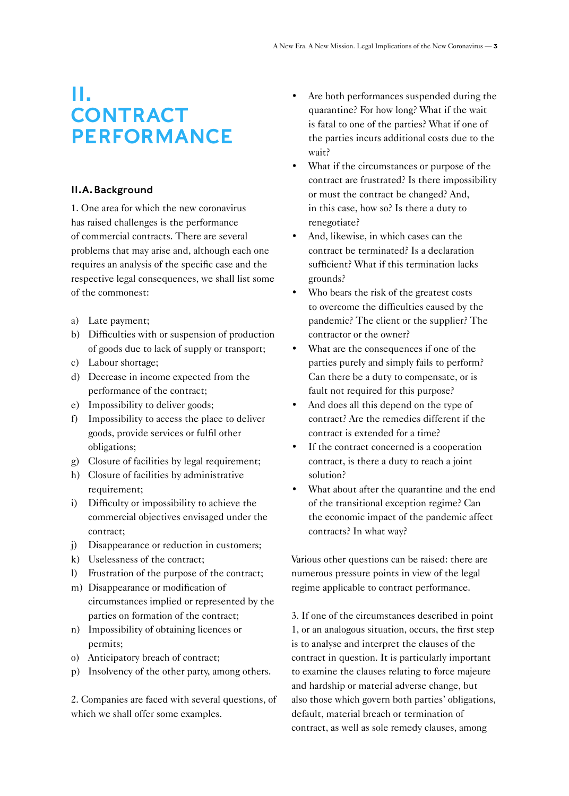## <span id="page-2-0"></span>II. **CONTRACT** PERFORMANCE

#### II.A.Background

1. One area for which the new coronavirus has raised challenges is the performance of commercial contracts. There are several problems that may arise and, although each one requires an analysis of the specific case and the respective legal consequences, we shall list some of the commonest:

- a) Late payment;
- b) Difficulties with or suspension of production of goods due to lack of supply or transport;
- c) Labour shortage;
- d) Decrease in income expected from the performance of the contract;
- e) Impossibility to deliver goods;
- f) Impossibility to access the place to deliver goods, provide services or fulfil other obligations;
- g) Closure of facilities by legal requirement;
- h) Closure of facilities by administrative requirement;
- i) Difficulty or impossibility to achieve the commercial objectives envisaged under the contract;
- j) Disappearance or reduction in customers;
- k) Uselessness of the contract;
- l) Frustration of the purpose of the contract;
- m) Disappearance or modification of circumstances implied or represented by the parties on formation of the contract;
- n) Impossibility of obtaining licences or permits;
- o) Anticipatory breach of contract;
- p) Insolvency of the other party, among others.

2. Companies are faced with several questions, of which we shall offer some examples.

- Are both performances suspended during the quarantine? For how long? What if the wait is fatal to one of the parties? What if one of the parties incurs additional costs due to the wait?
- What if the circumstances or purpose of the contract are frustrated? Is there impossibility or must the contract be changed? And, in this case, how so? Is there a duty to renegotiate?
- And, likewise, in which cases can the contract be terminated? Is a declaration sufficient? What if this termination lacks grounds?
- Who bears the risk of the greatest costs to overcome the difficulties caused by the pandemic? The client or the supplier? The contractor or the owner?
- What are the consequences if one of the parties purely and simply fails to perform? Can there be a duty to compensate, or is fault not required for this purpose?
- And does all this depend on the type of contract? Are the remedies different if the contract is extended for a time?
- If the contract concerned is a cooperation contract, is there a duty to reach a joint solution?
- What about after the quarantine and the end of the transitional exception regime? Can the economic impact of the pandemic affect contracts? In what way?

Various other questions can be raised: there are numerous pressure points in view of the legal regime applicable to contract performance.

3. If one of the circumstances described in point 1, or an analogous situation, occurs, the first step is to analyse and interpret the clauses of the contract in question. It is particularly important to examine the clauses relating to force majeure and hardship or material adverse change, but also those which govern both parties' obligations, default, material breach or termination of contract, as well as sole remedy clauses, among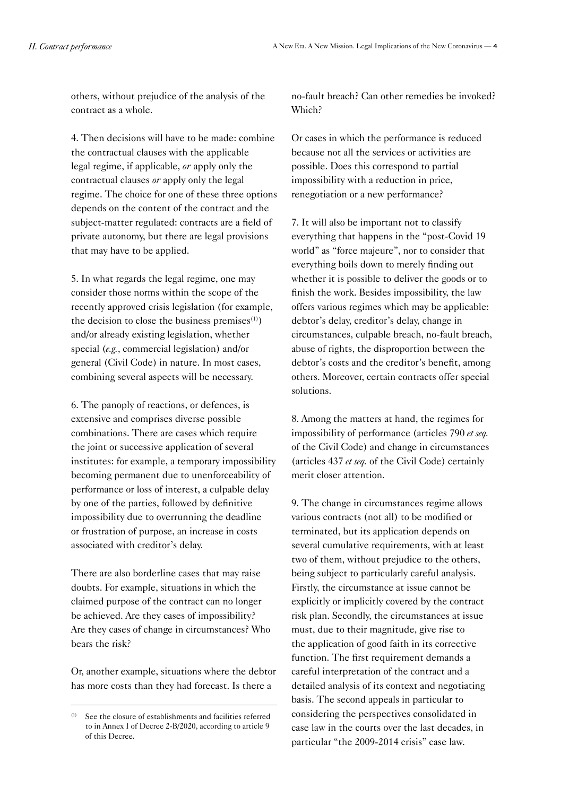others, without prejudice of the analysis of the contract as a whole.

4. Then decisions will have to be made: combine the contractual clauses with the applicable legal regime, if applicable, *or* apply only the contractual clauses *or* apply only the legal regime. The choice for one of these three options depends on the content of the contract and the subject-matter regulated: contracts are a field of private autonomy, but there are legal provisions that may have to be applied.

5. In what regards the legal regime, one may consider those norms within the scope of the recently approved crisis legislation (for example, the decision to close the business premises $(1)$ ) and/or already existing legislation, whether special (*e.g.*, commercial legislation) and/or general (Civil Code) in nature. In most cases, combining several aspects will be necessary.

6. The panoply of reactions, or defences, is extensive and comprises diverse possible combinations. There are cases which require the joint or successive application of several institutes: for example, a temporary impossibility becoming permanent due to unenforceability of performance or loss of interest, a culpable delay by one of the parties, followed by definitive impossibility due to overrunning the deadline or frustration of purpose, an increase in costs associated with creditor's delay.

There are also borderline cases that may raise doubts. For example, situations in which the claimed purpose of the contract can no longer be achieved. Are they cases of impossibility? Are they cases of change in circumstances? Who bears the risk?

Or, another example, situations where the debtor has more costs than they had forecast. Is there a

no-fault breach? Can other remedies be invoked? Which?

Or cases in which the performance is reduced because not all the services or activities are possible. Does this correspond to partial impossibility with a reduction in price, renegotiation or a new performance?

7. It will also be important not to classify everything that happens in the "post-Covid 19 world" as "force majeure", nor to consider that everything boils down to merely finding out whether it is possible to deliver the goods or to finish the work. Besides impossibility, the law offers various regimes which may be applicable: debtor's delay, creditor's delay, change in circumstances, culpable breach, no-fault breach, abuse of rights, the disproportion between the debtor's costs and the creditor's benefit, among others. Moreover, certain contracts offer special solutions.

8. Among the matters at hand, the regimes for impossibility of performance (articles 790 *et seq.* of the Civil Code) and change in circumstances (articles 437 *et seq.* of the Civil Code) certainly merit closer attention.

9. The change in circumstances regime allows various contracts (not all) to be modified or terminated, but its application depends on several cumulative requirements, with at least two of them, without prejudice to the others, being subject to particularly careful analysis. Firstly, the circumstance at issue cannot be explicitly or implicitly covered by the contract risk plan. Secondly, the circumstances at issue must, due to their magnitude, give rise to the application of good faith in its corrective function. The first requirement demands a careful interpretation of the contract and a detailed analysis of its context and negotiating basis. The second appeals in particular to considering the perspectives consolidated in case law in the courts over the last decades, in particular "the 2009-2014 crisis" case law.

<sup>(1)</sup> See the closure of establishments and facilities referred to in Annex I of Decree 2-B/2020, according to article 9 of this Decree.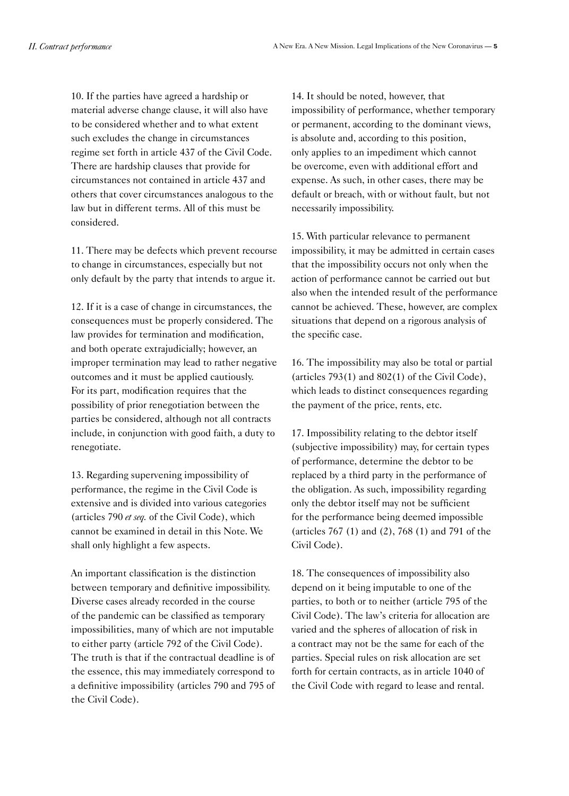10. If the parties have agreed a hardship or material adverse change clause, it will also have to be considered whether and to what extent such excludes the change in circumstances regime set forth in article 437 of the Civil Code. There are hardship clauses that provide for circumstances not contained in article 437 and others that cover circumstances analogous to the law but in different terms. All of this must be considered.

11. There may be defects which prevent recourse to change in circumstances, especially but not only default by the party that intends to argue it.

12. If it is a case of change in circumstances, the consequences must be properly considered. The law provides for termination and modification, and both operate extrajudicially; however, an improper termination may lead to rather negative outcomes and it must be applied cautiously. For its part, modification requires that the possibility of prior renegotiation between the parties be considered, although not all contracts include, in conjunction with good faith, a duty to renegotiate.

13. Regarding supervening impossibility of performance, the regime in the Civil Code is extensive and is divided into various categories (articles 790 *et seq.* of the Civil Code), which cannot be examined in detail in this Note. We shall only highlight a few aspects.

An important classification is the distinction between temporary and definitive impossibility. Diverse cases already recorded in the course of the pandemic can be classified as temporary impossibilities, many of which are not imputable to either party (article 792 of the Civil Code). The truth is that if the contractual deadline is of the essence, this may immediately correspond to a definitive impossibility (articles 790 and 795 of the Civil Code).

14. It should be noted, however, that impossibility of performance, whether temporary or permanent, according to the dominant views, is absolute and, according to this position, only applies to an impediment which cannot be overcome, even with additional effort and expense. As such, in other cases, there may be default or breach, with or without fault, but not necessarily impossibility.

15. With particular relevance to permanent impossibility, it may be admitted in certain cases that the impossibility occurs not only when the action of performance cannot be carried out but also when the intended result of the performance cannot be achieved. These, however, are complex situations that depend on a rigorous analysis of the specific case.

16. The impossibility may also be total or partial (articles  $793(1)$  and  $802(1)$  of the Civil Code), which leads to distinct consequences regarding the payment of the price, rents, etc.

17. Impossibility relating to the debtor itself (subjective impossibility) may, for certain types of performance, determine the debtor to be replaced by a third party in the performance of the obligation. As such, impossibility regarding only the debtor itself may not be sufficient for the performance being deemed impossible (articles 767 (1) and (2), 768 (1) and 791 of the Civil Code).

18. The consequences of impossibility also depend on it being imputable to one of the parties, to both or to neither (article 795 of the Civil Code). The law's criteria for allocation are varied and the spheres of allocation of risk in a contract may not be the same for each of the parties. Special rules on risk allocation are set forth for certain contracts, as in article 1040 of the Civil Code with regard to lease and rental.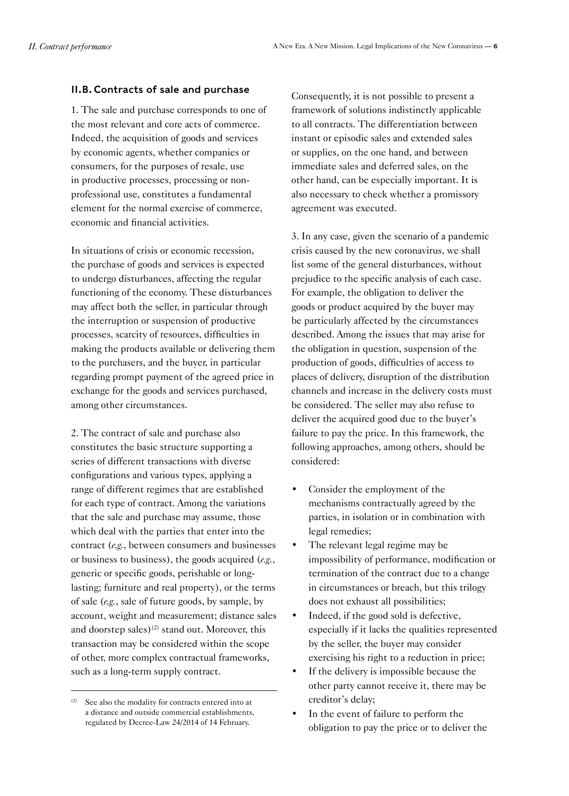### <span id="page-5-0"></span>II.B. Contracts of sale and purchase

1. The sale and purchase corresponds to one of the most relevant and core acts of commerce. Indeed, the acquisition of goods and services by economic agents, whether companies or consumers, for the purposes of resale, use in productive processes, processing or nonprofessional use, constitutes a fundamental element for the normal exercise of commerce, economic and financial activities.

In situations of crisis or economic recession, the purchase of goods and services is expected to undergo disturbances, affecting the regular functioning of the economy. These disturbances may affect both the seller, in particular through the interruption or suspension of productive processes, scarcity of resources, difficulties in making the products available or delivering them to the purchasers, and the buyer, in particular regarding prompt payment of the agreed price in exchange for the goods and services purchased, among other circumstances.

2. The contract of sale and purchase also constitutes the basic structure supporting a series of different transactions with diverse configurations and various types, applying a range of different regimes that are established for each type of contract. Among the variations that the sale and purchase may assume, those which deal with the parties that enter into the contract (*e.g.*, between consumers and businesses or business to business), the goods acquired (*e.g.*, generic or specific goods, perishable or longlasting; furniture and real property), or the terms of sale (*e.g.*, sale of future goods, by sample, by account, weight and measurement; distance sales and doorstep sales)<sup>(2)</sup> stand out. Moreover, this transaction may be considered within the scope of other, more complex contractual frameworks, such as a long-term supply contract.

Consequently, it is not possible to present a framework of solutions indistinctly applicable to all contracts. The differentiation between instant or episodic sales and extended sales or supplies, on the one hand, and between immediate sales and deferred sales, on the other hand, can be especially important. It is also necessary to check whether a promissory agreement was executed.

3. In any case, given the scenario of a pandemic crisis caused by the new coronavirus, we shall list some of the general disturbances, without prejudice to the specific analysis of each case. For example, the obligation to deliver the goods or product acquired by the buyer may be particularly affected by the circumstances described. Among the issues that may arise for the obligation in question, suspension of the production of goods, difficulties of access to places of delivery, disruption of the distribution channels and increase in the delivery costs must be considered. The seller may also refuse to deliver the acquired good due to the buyer's failure to pay the price. In this framework, the following approaches, among others, should be considered:

- Consider the employment of the mechanisms contractually agreed by the parties, in isolation or in combination with legal remedies;
- The relevant legal regime may be impossibility of performance, modification or termination of the contract due to a change in circumstances or breach, but this trilogy does not exhaust all possibilities;
- Indeed, if the good sold is defective, especially if it lacks the qualities represented by the seller, the buyer may consider exercising his right to a reduction in price;
- If the delivery is impossible because the other party cannot receive it, there may be creditor's delay;
- In the event of failure to perform the obligation to pay the price or to deliver the

<sup>(2)</sup> See also the modality for contracts entered into at a distance and outside commercial establishments, regulated by Decree-Law 24/2014 of 14 February.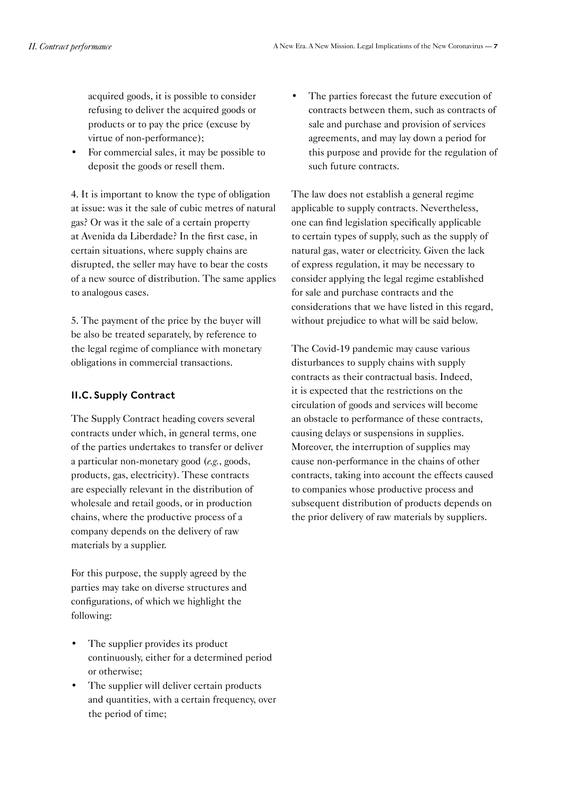<span id="page-6-0"></span>acquired goods, it is possible to consider refusing to deliver the acquired goods or products or to pay the price (excuse by virtue of non-performance);

• For commercial sales, it may be possible to deposit the goods or resell them.

4. It is important to know the type of obligation at issue: was it the sale of cubic metres of natural gas? Or was it the sale of a certain property at Avenida da Liberdade? In the first case, in certain situations, where supply chains are disrupted, the seller may have to bear the costs of a new source of distribution. The same applies to analogous cases.

5. The payment of the price by the buyer will be also be treated separately, by reference to the legal regime of compliance with monetary obligations in commercial transactions.

### II.C.Supply Contract

The Supply Contract heading covers several contracts under which, in general terms, one of the parties undertakes to transfer or deliver a particular non-monetary good (*e.g.*, goods, products, gas, electricity). These contracts are especially relevant in the distribution of wholesale and retail goods, or in production chains, where the productive process of a company depends on the delivery of raw materials by a supplier.

For this purpose, the supply agreed by the parties may take on diverse structures and configurations, of which we highlight the following:

- The supplier provides its product continuously, either for a determined period or otherwise;
- The supplier will deliver certain products and quantities, with a certain frequency, over the period of time;

The parties forecast the future execution of contracts between them, such as contracts of sale and purchase and provision of services agreements, and may lay down a period for this purpose and provide for the regulation of such future contracts.

The law does not establish a general regime applicable to supply contracts. Nevertheless, one can find legislation specifically applicable to certain types of supply, such as the supply of natural gas, water or electricity. Given the lack of express regulation, it may be necessary to consider applying the legal regime established for sale and purchase contracts and the considerations that we have listed in this regard, without prejudice to what will be said below.

The Covid-19 pandemic may cause various disturbances to supply chains with supply contracts as their contractual basis. Indeed, it is expected that the restrictions on the circulation of goods and services will become an obstacle to performance of these contracts, causing delays or suspensions in supplies. Moreover, the interruption of supplies may cause non-performance in the chains of other contracts, taking into account the effects caused to companies whose productive process and subsequent distribution of products depends on the prior delivery of raw materials by suppliers.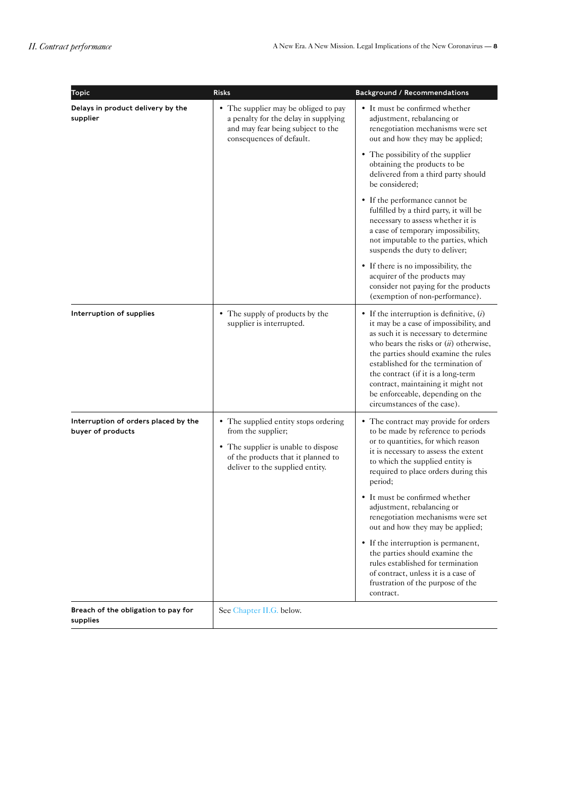| <b>Topic</b>                                              | <b>Risks</b>                                                                                                                                                               | <b>Background / Recommendations</b>                                                                                                                                                                                                                                                                                                                                                                   |
|-----------------------------------------------------------|----------------------------------------------------------------------------------------------------------------------------------------------------------------------------|-------------------------------------------------------------------------------------------------------------------------------------------------------------------------------------------------------------------------------------------------------------------------------------------------------------------------------------------------------------------------------------------------------|
| Delays in product delivery by the<br>supplier             | • The supplier may be obliged to pay<br>a penalty for the delay in supplying<br>and may fear being subject to the<br>consequences of default.                              | • It must be confirmed whether<br>adjustment, rebalancing or<br>renegotiation mechanisms were set<br>out and how they may be applied;                                                                                                                                                                                                                                                                 |
|                                                           |                                                                                                                                                                            | • The possibility of the supplier<br>obtaining the products to be<br>delivered from a third party should<br>be considered:                                                                                                                                                                                                                                                                            |
|                                                           |                                                                                                                                                                            | • If the performance cannot be<br>fulfilled by a third party, it will be<br>necessary to assess whether it is<br>a case of temporary impossibility,<br>not imputable to the parties, which<br>suspends the duty to deliver;                                                                                                                                                                           |
|                                                           |                                                                                                                                                                            | • If there is no impossibility, the<br>acquirer of the products may<br>consider not paying for the products<br>(exemption of non-performance).                                                                                                                                                                                                                                                        |
| Interruption of supplies                                  | • The supply of products by the<br>supplier is interrupted.                                                                                                                | • If the interruption is definitive, $(i)$<br>it may be a case of impossibility, and<br>as such it is necessary to determine<br>who bears the risks or $(ii)$ otherwise,<br>the parties should examine the rules<br>established for the termination of<br>the contract (if it is a long-term<br>contract, maintaining it might not<br>be enforceable, depending on the<br>circumstances of the case). |
| Interruption of orders placed by the<br>buyer of products | • The supplied entity stops ordering<br>from the supplier;<br>• The supplier is unable to dispose<br>of the products that it planned to<br>deliver to the supplied entity. | • The contract may provide for orders<br>to be made by reference to periods<br>or to quantities, for which reason<br>it is necessary to assess the extent<br>to which the supplied entity is<br>required to place orders during this<br>period;                                                                                                                                                       |
|                                                           |                                                                                                                                                                            | • It must be confirmed whether<br>adjustment, rebalancing or<br>renegotiation mechanisms were set<br>out and how they may be applied;                                                                                                                                                                                                                                                                 |
|                                                           |                                                                                                                                                                            | • If the interruption is permanent,<br>the parties should examine the<br>rules established for termination<br>of contract, unless it is a case of<br>frustration of the purpose of the<br>contract.                                                                                                                                                                                                   |
| Breach of the obligation to pay for<br>supplies           | See Chapter II.G. below.                                                                                                                                                   |                                                                                                                                                                                                                                                                                                                                                                                                       |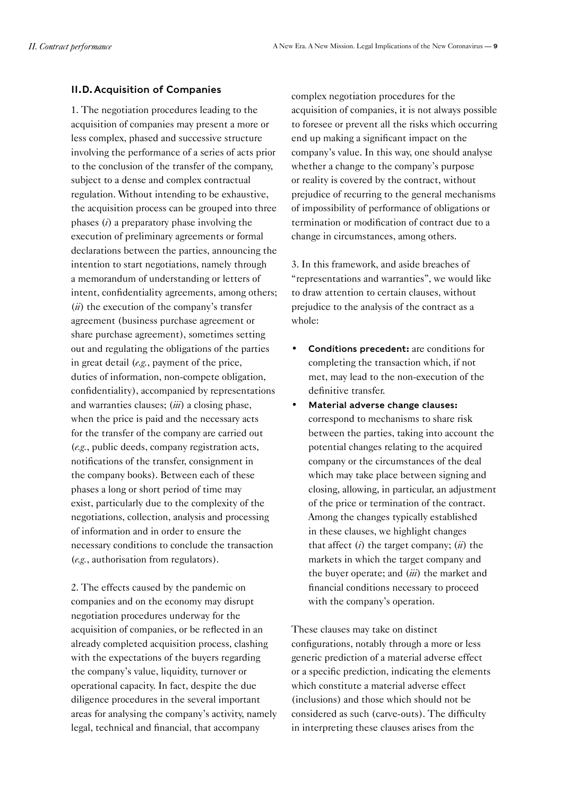#### <span id="page-8-0"></span>II.D.Acquisition of Companies

1. The negotiation procedures leading to the acquisition of companies may present a more or less complex, phased and successive structure involving the performance of a series of acts prior to the conclusion of the transfer of the company, subject to a dense and complex contractual regulation. Without intending to be exhaustive, the acquisition process can be grouped into three phases (*i*) a preparatory phase involving the execution of preliminary agreements or formal declarations between the parties, announcing the intention to start negotiations, namely through a memorandum of understanding or letters of intent, confidentiality agreements, among others; (*ii*) the execution of the company's transfer agreement (business purchase agreement or share purchase agreement), sometimes setting out and regulating the obligations of the parties in great detail (*e.g.*, payment of the price, duties of information, non-compete obligation, confidentiality), accompanied by representations and warranties clauses; (*iii*) a closing phase, when the price is paid and the necessary acts for the transfer of the company are carried out (*e.g.*, public deeds, company registration acts, notifications of the transfer, consignment in the company books). Between each of these phases a long or short period of time may exist, particularly due to the complexity of the negotiations, collection, analysis and processing of information and in order to ensure the necessary conditions to conclude the transaction (*e.g.*, authorisation from regulators).

2. The effects caused by the pandemic on companies and on the economy may disrupt negotiation procedures underway for the acquisition of companies, or be reflected in an already completed acquisition process, clashing with the expectations of the buyers regarding the company's value, liquidity, turnover or operational capacity. In fact, despite the due diligence procedures in the several important areas for analysing the company's activity, namely legal, technical and financial, that accompany

complex negotiation procedures for the acquisition of companies, it is not always possible to foresee or prevent all the risks which occurring end up making a significant impact on the company's value. In this way, one should analyse whether a change to the company's purpose or reality is covered by the contract, without prejudice of recurring to the general mechanisms of impossibility of performance of obligations or termination or modification of contract due to a change in circumstances, among others.

3. In this framework, and aside breaches of "representations and warranties", we would like to draw attention to certain clauses, without prejudice to the analysis of the contract as a whole:

- Conditions precedent: are conditions for completing the transaction which, if not met, may lead to the non-execution of the definitive transfer.
- Material adverse change clauses: correspond to mechanisms to share risk between the parties, taking into account the potential changes relating to the acquired company or the circumstances of the deal which may take place between signing and closing, allowing, in particular, an adjustment of the price or termination of the contract. Among the changes typically established in these clauses, we highlight changes that affect (*i*) the target company; (*ii*) the markets in which the target company and the buyer operate; and (*iii*) the market and financial conditions necessary to proceed with the company's operation.

These clauses may take on distinct configurations, notably through a more or less generic prediction of a material adverse effect or a specific prediction, indicating the elements which constitute a material adverse effect (inclusions) and those which should not be considered as such (carve-outs). The difficulty in interpreting these clauses arises from the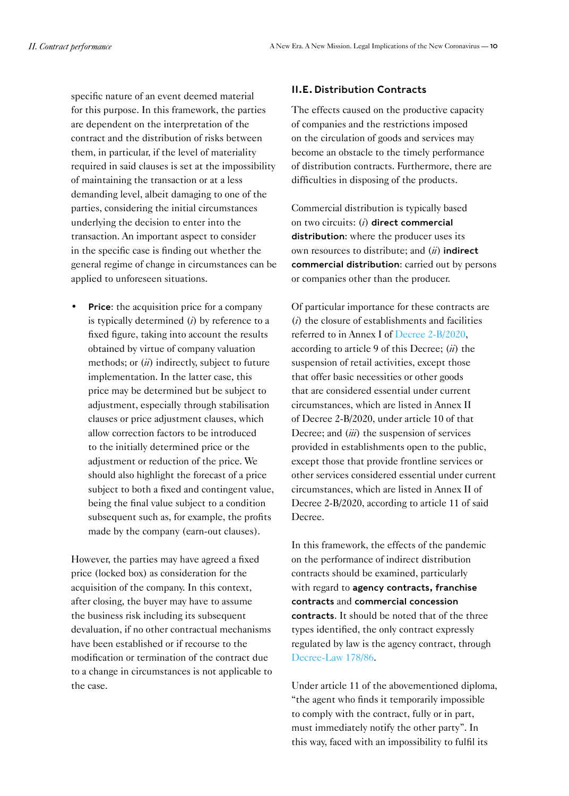<span id="page-9-0"></span>specific nature of an event deemed material for this purpose. In this framework, the parties are dependent on the interpretation of the contract and the distribution of risks between them, in particular, if the level of materiality required in said clauses is set at the impossibility of maintaining the transaction or at a less demanding level, albeit damaging to one of the parties, considering the initial circumstances underlying the decision to enter into the transaction. An important aspect to consider in the specific case is finding out whether the general regime of change in circumstances can be applied to unforeseen situations.

**Price:** the acquisition price for a company is typically determined (*i*) by reference to a fixed figure, taking into account the results obtained by virtue of company valuation methods; or (*ii*) indirectly, subject to future implementation. In the latter case, this price may be determined but be subject to adjustment, especially through stabilisation clauses or price adjustment clauses, which allow correction factors to be introduced to the initially determined price or the adjustment or reduction of the price. We should also highlight the forecast of a price subject to both a fixed and contingent value, being the final value subject to a condition subsequent such as, for example, the profits made by the company (earn-out clauses).

However, the parties may have agreed a fixed price (locked box) as consideration for the acquisition of the company. In this context, after closing, the buyer may have to assume the business risk including its subsequent devaluation, if no other contractual mechanisms have been established or if recourse to the modification or termination of the contract due to a change in circumstances is not applicable to the case.

#### II.E. Distribution Contracts

The effects caused on the productive capacity of companies and the restrictions imposed on the circulation of goods and services may become an obstacle to the timely performance of distribution contracts. Furthermore, there are difficulties in disposing of the products.

Commercial distribution is typically based on two circuits: (*i*) direct commercial distribution: where the producer uses its own resources to distribute; and (*ii*) indirect commercial distribution: carried out by persons or companies other than the producer.

Of particular importance for these contracts are (*i*) the closure of establishments and facilities referred to in Annex I of [Decree 2-B/2020](https://dre.pt/home/-/dre/131068124/details/maximized), according to article 9 of this Decree; (*ii*) the suspension of retail activities, except those that offer basic necessities or other goods that are considered essential under current circumstances, which are listed in Annex II of Decree 2-B/2020, under article 10 of that Decree; and (*iii*) the suspension of services provided in establishments open to the public, except those that provide frontline services or other services considered essential under current circumstances, which are listed in Annex II of Decree 2-B/2020, according to article 11 of said Decree.

In this framework, the effects of the pandemic on the performance of indirect distribution contracts should be examined, particularly with regard to agency contracts, franchise contracts and commercial concession contracts. It should be noted that of the three types identified, the only contract expressly regulated by law is the agency contract, through [Decree-Law 178/86.](https://dre.pt/web/guest/pesquisa/-/search/228268/details/normal?q=Decreto-Lei+n.%C2%BA%20178%2F86)

Under article 11 of the abovementioned diploma, "the agent who finds it temporarily impossible to comply with the contract, fully or in part, must immediately notify the other party". In this way, faced with an impossibility to fulfil its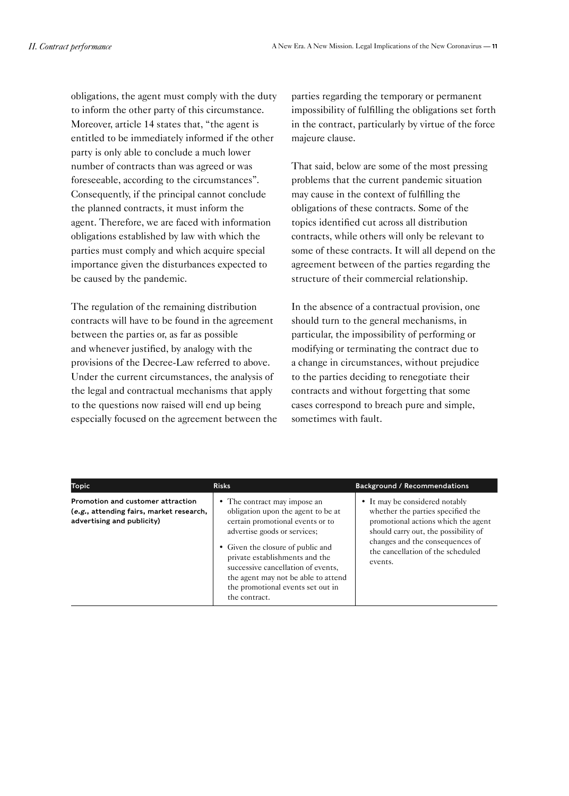obligations, the agent must comply with the duty to inform the other party of this circumstance. Moreover, article 14 states that, "the agent is entitled to be immediately informed if the other party is only able to conclude a much lower number of contracts than was agreed or was foreseeable, according to the circumstances". Consequently, if the principal cannot conclude the planned contracts, it must inform the agent. Therefore, we are faced with information obligations established by law with which the parties must comply and which acquire special importance given the disturbances expected to be caused by the pandemic.

The regulation of the remaining distribution contracts will have to be found in the agreement between the parties or, as far as possible and whenever justified, by analogy with the provisions of the Decree-Law referred to above. Under the current circumstances, the analysis of the legal and contractual mechanisms that apply to the questions now raised will end up being especially focused on the agreement between the parties regarding the temporary or permanent impossibility of fulfilling the obligations set forth in the contract, particularly by virtue of the force majeure clause.

That said, below are some of the most pressing problems that the current pandemic situation may cause in the context of fulfilling the obligations of these contracts. Some of the topics identified cut across all distribution contracts, while others will only be relevant to some of these contracts. It will all depend on the agreement between of the parties regarding the structure of their commercial relationship.

In the absence of a contractual provision, one should turn to the general mechanisms, in particular, the impossibility of performing or modifying or terminating the contract due to a change in circumstances, without prejudice to the parties deciding to renegotiate their contracts and without forgetting that some cases correspond to breach pure and simple, sometimes with fault.

| Topic                                                                                                       | <b>Risks</b>                                                                                                                                                                                                                                                                                                                                     | <b>Background / Recommendations</b>                                                                                                                                                                                                   |
|-------------------------------------------------------------------------------------------------------------|--------------------------------------------------------------------------------------------------------------------------------------------------------------------------------------------------------------------------------------------------------------------------------------------------------------------------------------------------|---------------------------------------------------------------------------------------------------------------------------------------------------------------------------------------------------------------------------------------|
| Promotion and customer attraction<br>(e.g., attending fairs, market research,<br>advertising and publicity) | • The contract may impose an<br>obligation upon the agent to be at<br>certain promotional events or to<br>advertise goods or services;<br>• Given the closure of public and<br>private establishments and the<br>successive cancellation of events,<br>the agent may not be able to attend<br>the promotional events set out in<br>the contract. | • It may be considered notably<br>whether the parties specified the<br>promotional actions which the agent<br>should carry out, the possibility of<br>changes and the consequences of<br>the cancellation of the scheduled<br>events. |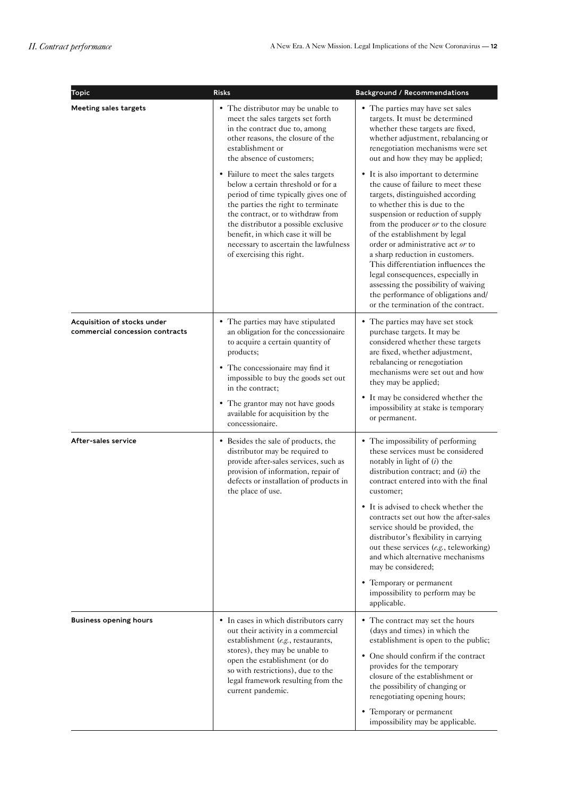| Topic                                                          | <b>Risks</b>                                                                                                                                                                                                                                                                                                                                     | <b>Background / Recommendations</b>                                                                                                                                                                                                                                                                                                                                                                                                                                                                                                   |
|----------------------------------------------------------------|--------------------------------------------------------------------------------------------------------------------------------------------------------------------------------------------------------------------------------------------------------------------------------------------------------------------------------------------------|---------------------------------------------------------------------------------------------------------------------------------------------------------------------------------------------------------------------------------------------------------------------------------------------------------------------------------------------------------------------------------------------------------------------------------------------------------------------------------------------------------------------------------------|
| <b>Meeting sales targets</b>                                   | • The distributor may be unable to<br>meet the sales targets set forth<br>in the contract due to, among<br>other reasons, the closure of the<br>establishment or<br>the absence of customers;                                                                                                                                                    | • The parties may have set sales<br>targets. It must be determined<br>whether these targets are fixed,<br>whether adjustment, rebalancing or<br>renegotiation mechanisms were set<br>out and how they may be applied;                                                                                                                                                                                                                                                                                                                 |
|                                                                | • Failure to meet the sales targets<br>below a certain threshold or for a<br>period of time typically gives one of<br>the parties the right to terminate<br>the contract, or to withdraw from<br>the distributor a possible exclusive<br>benefit, in which case it will be<br>necessary to ascertain the lawfulness<br>of exercising this right. | • It is also important to determine<br>the cause of failure to meet these<br>targets, distinguished according<br>to whether this is due to the<br>suspension or reduction of supply<br>from the producer or to the closure<br>of the establishment by legal<br>order or administrative act or to<br>a sharp reduction in customers.<br>This differentiation influences the<br>legal consequences, especially in<br>assessing the possibility of waiving<br>the performance of obligations and/<br>or the termination of the contract. |
| Acquisition of stocks under<br>commercial concession contracts | • The parties may have stipulated<br>an obligation for the concessionaire<br>to acquire a certain quantity of<br>products;<br>• The concessionaire may find it<br>impossible to buy the goods set out<br>in the contract;                                                                                                                        | • The parties may have set stock<br>purchase targets. It may be<br>considered whether these targets<br>are fixed, whether adjustment,<br>rebalancing or renegotiation<br>mechanisms were set out and how<br>they may be applied;                                                                                                                                                                                                                                                                                                      |
|                                                                | • The grantor may not have goods<br>available for acquisition by the<br>concessionaire.                                                                                                                                                                                                                                                          | • It may be considered whether the<br>impossibility at stake is temporary<br>or permanent.                                                                                                                                                                                                                                                                                                                                                                                                                                            |
| After-sales service                                            | • Besides the sale of products, the<br>distributor may be required to<br>provide after-sales services, such as<br>provision of information, repair of<br>defects or installation of products in<br>the place of use.                                                                                                                             | • The impossibility of performing<br>these services must be considered<br>notably in light of $(i)$ the<br>distribution contract; and $(n)$ the<br>contract entered into with the final<br>customer;                                                                                                                                                                                                                                                                                                                                  |
|                                                                |                                                                                                                                                                                                                                                                                                                                                  | • It is advised to check whether the<br>contracts set out how the after-sales<br>service should be provided, the<br>distributor's flexibility in carrying<br>out these services (e.g., teleworking)<br>and which alternative mechanisms<br>may be considered;                                                                                                                                                                                                                                                                         |
|                                                                |                                                                                                                                                                                                                                                                                                                                                  | • Temporary or permanent<br>impossibility to perform may be<br>applicable.                                                                                                                                                                                                                                                                                                                                                                                                                                                            |
| <b>Business opening hours</b>                                  | • In cases in which distributors carry<br>out their activity in a commercial<br>establishment (e.g., restaurants,<br>stores), they may be unable to<br>open the establishment (or do<br>so with restrictions), due to the<br>legal framework resulting from the<br>current pandemic.                                                             | • The contract may set the hours<br>(days and times) in which the<br>establishment is open to the public;                                                                                                                                                                                                                                                                                                                                                                                                                             |
|                                                                |                                                                                                                                                                                                                                                                                                                                                  | • One should confirm if the contract<br>provides for the temporary<br>closure of the establishment or<br>the possibility of changing or<br>renegotiating opening hours;                                                                                                                                                                                                                                                                                                                                                               |
|                                                                |                                                                                                                                                                                                                                                                                                                                                  | • Temporary or permanent<br>impossibility may be applicable.                                                                                                                                                                                                                                                                                                                                                                                                                                                                          |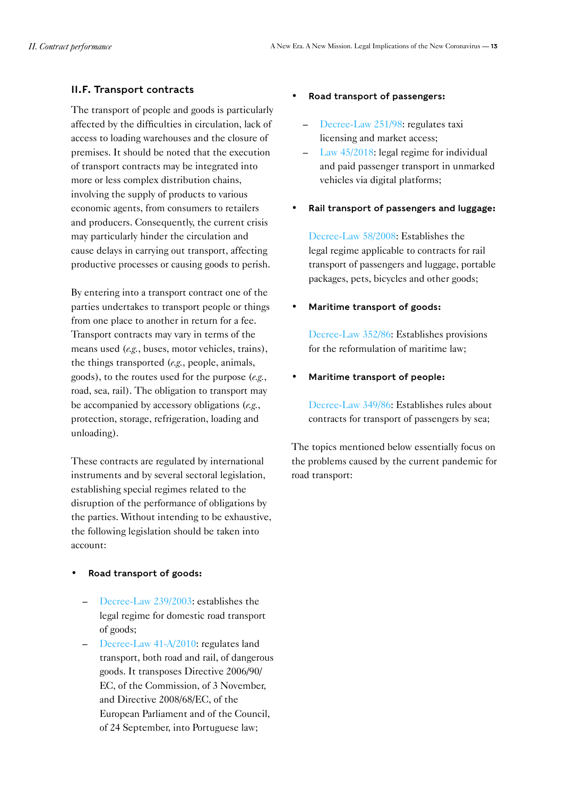#### <span id="page-12-0"></span>II.F. Transport contracts

The transport of people and goods is particularly affected by the difficulties in circulation, lack of access to loading warehouses and the closure of premises. It should be noted that the execution of transport contracts may be integrated into more or less complex distribution chains, involving the supply of products to various economic agents, from consumers to retailers and producers. Consequently, the current crisis may particularly hinder the circulation and cause delays in carrying out transport, affecting productive processes or causing goods to perish.

By entering into a transport contract one of the parties undertakes to transport people or things from one place to another in return for a fee. Transport contracts may vary in terms of the means used (*e.g.*, buses, motor vehicles, trains), the things transported (*e.g.*, people, animals, goods), to the routes used for the purpose (*e.g.*, road, sea, rail). The obligation to transport may be accompanied by accessory obligations (*e.g.*, protection, storage, refrigeration, loading and unloading).

These contracts are regulated by international instruments and by several sectoral legislation, establishing special regimes related to the disruption of the performance of obligations by the parties. Without intending to be exhaustive, the following legislation should be taken into account:

#### • Road transport of goods:

- [Decree-Law 239/2003](https://data.dre.pt/eli/dec-lei/239/2003/10/04/p/dre/pt/html): establishes the legal regime for domestic road transport of goods;
- [Decree-Law 41-A/2010](https://data.dre.pt/eli/dec-lei/41-a/2010/p/cons/20180611/pt/html): regulates land transport, both road and rail, of dangerous goods. It transposes Directive 2006/90/ EC, of the Commission, of 3 November, and Directive 2008/68/EC, of the European Parliament and of the Council, of 24 September, into Portuguese law;

#### • Road transport of passengers:

- [Decree-Law 251/98:](https://data.dre.pt/eli/dec-lei/251/1998/p/cons/20190111/pt/html) regulates taxi licensing and market access;
- [Law 45/2018](https://data.dre.pt/eli/lei/45/2018/08/10/p/dre/pt/html): legal regime for individual and paid passenger transport in unmarked vehicles via digital platforms;
- Rail transport of passengers and luggage:

[Decree-Law 58/2008:](https://data.dre.pt/eli/dec-lei/58/2008/p/cons/20181231/pt/html) Establishes the legal regime applicable to contracts for rail transport of passengers and luggage, portable packages, pets, bicycles and other goods;

#### • Maritime transport of goods:

[Decree-Law 352/86:](https://dre.pt/web/guest/pesquisa/-/search/222249/details/normal?q=Decreto-Lei+n.%C2%BA%20352%2F86) Establishes provisions for the reformulation of maritime law;

#### • Maritime transport of people:

[Decree-Law 349/86:](https://dre.pt/web/guest/pesquisa/-/search/222269/details/normal?q=Decreto-Lei+n.%C2%BA%20349%2F86) Establishes rules about contracts for transport of passengers by sea;

The topics mentioned below essentially focus on the problems caused by the current pandemic for road transport: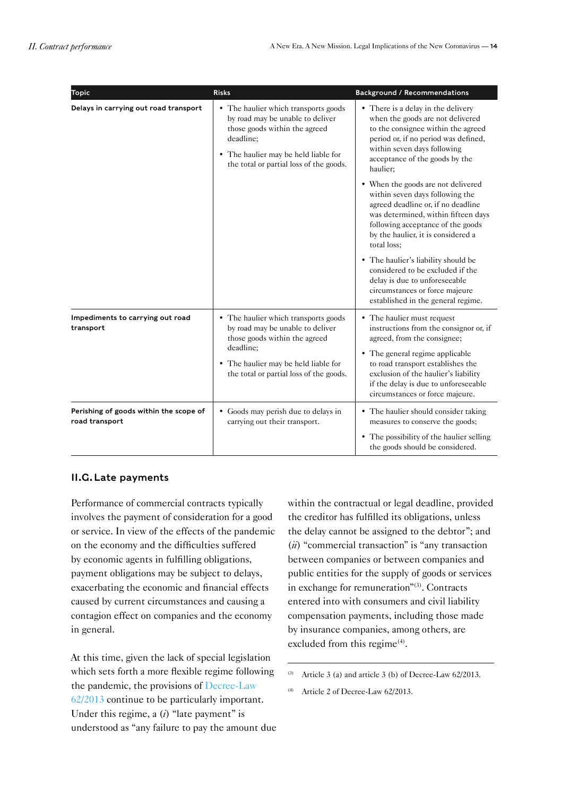<span id="page-13-0"></span>

| <b>Topic</b>                                             | <b>Risks</b>                                                                                                                                                                                              | <b>Background / Recommendations</b>                                                                                                                                                                                                                                                            |
|----------------------------------------------------------|-----------------------------------------------------------------------------------------------------------------------------------------------------------------------------------------------------------|------------------------------------------------------------------------------------------------------------------------------------------------------------------------------------------------------------------------------------------------------------------------------------------------|
| Delays in carrying out road transport                    | • The haulier which transports goods<br>by road may be unable to deliver<br>those goods within the agreed<br>deadline;<br>• The haulier may be held liable for<br>the total or partial loss of the goods. | • There is a delay in the delivery<br>when the goods are not delivered<br>to the consignee within the agreed<br>period or, if no period was defined,<br>within seven days following<br>acceptance of the goods by the<br>haulier;                                                              |
|                                                          |                                                                                                                                                                                                           | • When the goods are not delivered<br>within seven days following the<br>agreed deadline or, if no deadline<br>was determined, within fifteen days<br>following acceptance of the goods<br>by the haulier, it is considered a<br>total loss;                                                   |
|                                                          |                                                                                                                                                                                                           | • The haulier's liability should be<br>considered to be excluded if the<br>delay is due to unforeseeable<br>circumstances or force majeure<br>established in the general regime.                                                                                                               |
| Impediments to carrying out road<br>transport            | • The haulier which transports goods<br>by road may be unable to deliver<br>those goods within the agreed<br>deadline;<br>• The haulier may be held liable for<br>the total or partial loss of the goods. | • The haulier must request<br>instructions from the consignor or, if<br>agreed, from the consignee;<br>• The general regime applicable<br>to road transport establishes the<br>exclusion of the haulier's liability<br>if the delay is due to unforeseeable<br>circumstances or force majeure. |
| Perishing of goods within the scope of<br>road transport | • Goods may perish due to delays in<br>carrying out their transport.                                                                                                                                      | • The haulier should consider taking<br>measures to conserve the goods;<br>• The possibility of the haulier selling<br>the goods should be considered.                                                                                                                                         |

#### <span id="page-13-1"></span>II.G.Late payments

Performance of commercial contracts typically involves the payment of consideration for a good or service. In view of the effects of the pandemic on the economy and the difficulties suffered by economic agents in fulfilling obligations, payment obligations may be subject to delays, exacerbating the economic and financial effects caused by current circumstances and causing a contagion effect on companies and the economy in general.

At this time, given the lack of special legislation which sets forth a more flexible regime following the pandemic, the provisions of [Decree-Law](https://data.dre.pt/eli/dec-lei/62/2013/05/10/p/dre/pt/html)  [62/2013](https://data.dre.pt/eli/dec-lei/62/2013/05/10/p/dre/pt/html) continue to be particularly important. Under this regime, a (*i*) "late payment" is understood as "any failure to pay the amount due within the contractual or legal deadline, provided the creditor has fulfilled its obligations, unless the delay cannot be assigned to the debtor"; and (*ii*) "commercial transaction" is "any transaction between companies or between companies and public entities for the supply of goods or services in exchange for remuneration"(3). Contracts entered into with consumers and civil liability compensation payments, including those made by insurance companies, among others, are excluded from this regime<sup>(4)</sup>.

Article 3 (a) and article 3 (b) of Decree-Law 62/2013.

<sup>(4)</sup> Article 2 of Decree-Law 62/2013.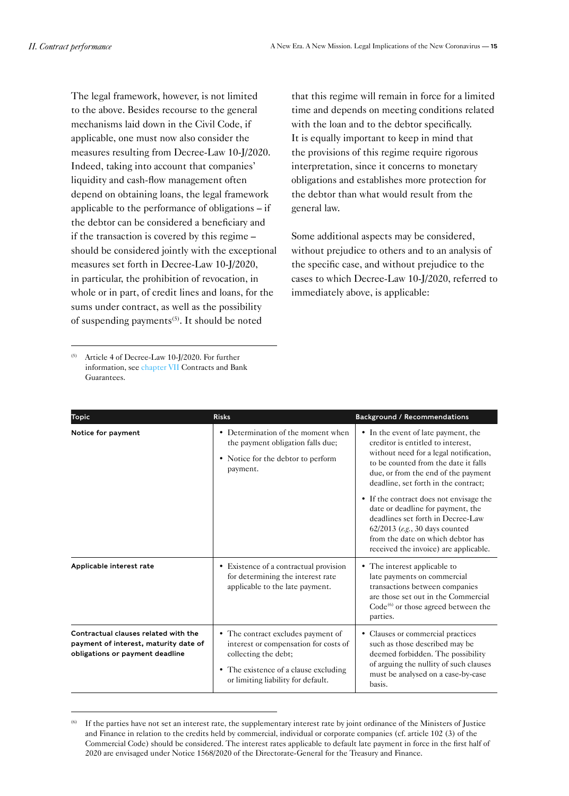The legal framework, however, is not limited to the above. Besides recourse to the general mechanisms laid down in the Civil Code, if applicable, one must now also consider the measures resulting from Decree-Law 10-J/2020. Indeed, taking into account that companies' liquidity and cash-flow management often depend on obtaining loans, the legal framework applicable to the performance of obligations – if the debtor can be considered a beneficiary and if the transaction is covered by this regime – should be considered jointly with the exceptional measures set forth in Decree-Law 10-J/2020, in particular, the prohibition of revocation, in whole or in part, of credit lines and loans, for the sums under contract, as well as the possibility of suspending payments<sup>(5)</sup>. It should be noted

that this regime will remain in force for a limited time and depends on meeting conditions related with the loan and to the debtor specifically. It is equally important to keep in mind that the provisions of this regime require rigorous interpretation, since it concerns to monetary obligations and establishes more protection for the debtor than what would result from the general law.

Some additional aspects may be considered, without prejudice to others and to an analysis of the specific case, and without prejudice to the cases to which Decree-Law 10-J/2020, referred to immediately above, is applicable:

Article 4 of Decree-Law 10-J/2020. For further information, see [chapter VII](https://www.mlgts.pt/xms/files/COVID-19/EN/Contratos_e_garantias_bancarias.pdf) Contracts and Bank Guarantees.

| <b>Topic</b>                                                                                                     | <b>Risks</b>                                                                                                                                                                       | <b>Background / Recommendations</b>                                                                                                                                                                                                                                                                                                                                                                                                                                            |
|------------------------------------------------------------------------------------------------------------------|------------------------------------------------------------------------------------------------------------------------------------------------------------------------------------|--------------------------------------------------------------------------------------------------------------------------------------------------------------------------------------------------------------------------------------------------------------------------------------------------------------------------------------------------------------------------------------------------------------------------------------------------------------------------------|
| Notice for payment                                                                                               | • Determination of the moment when<br>the payment obligation falls due;<br>• Notice for the debtor to perform<br>payment.                                                          | • In the event of late payment, the<br>creditor is entitled to interest.<br>without need for a legal notification,<br>to be counted from the date it falls<br>due, or from the end of the payment<br>deadline, set forth in the contract;<br>• If the contract does not envisage the<br>date or deadline for payment, the<br>deadlines set forth in Decree-Law<br>62/2013 (e.g., 30 days counted<br>from the date on which debtor has<br>received the invoice) are applicable. |
| Applicable interest rate                                                                                         | • Existence of a contractual provision<br>for determining the interest rate<br>applicable to the late payment.                                                                     | • The interest applicable to<br>late payments on commercial<br>transactions between companies<br>are those set out in the Commercial<br>$Code(6)$ or those agreed between the<br>parties.                                                                                                                                                                                                                                                                                      |
| Contractual clauses related with the<br>payment of interest, maturity date of<br>obligations or payment deadline | • The contract excludes payment of<br>interest or compensation for costs of<br>collecting the debt;<br>• The existence of a clause excluding<br>or limiting liability for default. | • Clauses or commercial practices<br>such as those described may be<br>deemed forbidden. The possibility<br>of arguing the nullity of such clauses<br>must be analysed on a case-by-case<br>basis.                                                                                                                                                                                                                                                                             |

<sup>(6)</sup> If the parties have not set an interest rate, the supplementary interest rate by joint ordinance of the Ministers of Justice and Finance in relation to the credits held by commercial, individual or corporate companies (cf. article 102 (3) of the Commercial Code) should be considered. The interest rates applicable to default late payment in force in the first half of 2020 are envisaged under Notice 1568/2020 of the Directorate-General for the Treasury and Finance.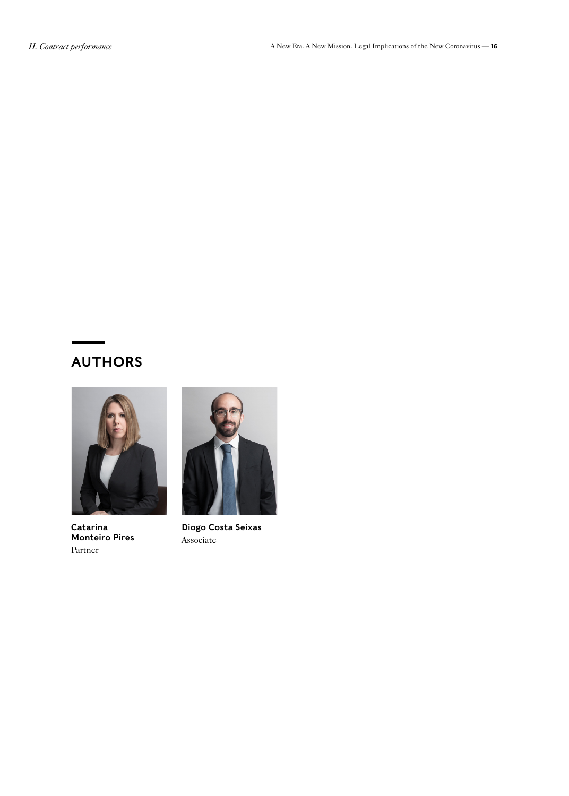## AUTHORS



[Catarina](https://www.mlgts.pt/en/people/partners/Catarina-Monteiro-Pires/104/)  [Monteiro Pires](https://www.mlgts.pt/en/people/partners/Catarina-Monteiro-Pires/104/) [Partner](https://www.mlgts.pt/en/people/partners/Catarina-Monteiro-Pires/104/)



[Diogo Costa Seixas](https://www.mlgts.pt/en/people/associates/Diogo-Costa-Seixas/4223/) [Associate](https://www.mlgts.pt/en/people/associates/Diogo-Costa-Seixas/4223/)